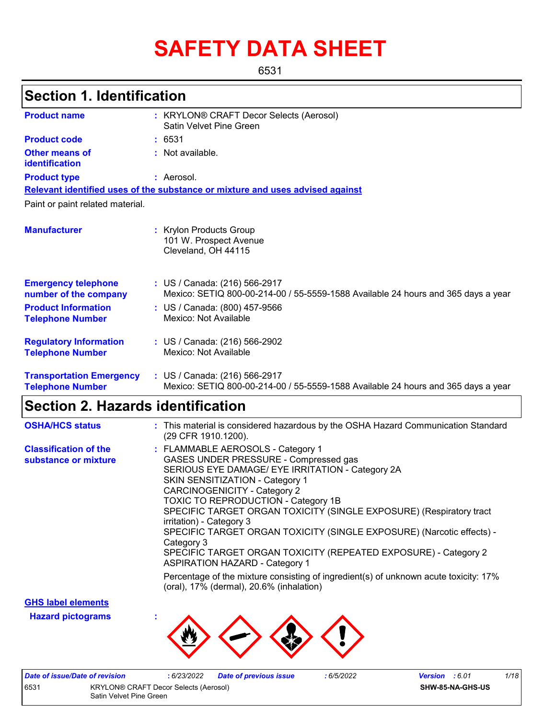# **SAFETY DATA SHEET**

6531

## **Section 1. Identification**

| <b>Product name</b>                                        | : KRYLON® CRAFT Decor Selects (Aerosol)<br>Satin Velvet Pine Green                                                 |
|------------------------------------------------------------|--------------------------------------------------------------------------------------------------------------------|
| <b>Product code</b>                                        | : 6531                                                                                                             |
| Other means of<br>identification                           | : Not available.                                                                                                   |
| <b>Product type</b>                                        | : Aerosol.                                                                                                         |
|                                                            | Relevant identified uses of the substance or mixture and uses advised against                                      |
| Paint or paint related material.                           |                                                                                                                    |
| <b>Manufacturer</b>                                        | : Krylon Products Group<br>101 W. Prospect Avenue<br>Cleveland, OH 44115                                           |
| <b>Emergency telephone</b><br>number of the company        | : US / Canada: (216) 566-2917<br>Mexico: SETIQ 800-00-214-00 / 55-5559-1588 Available 24 hours and 365 days a year |
| <b>Product Information</b><br><b>Telephone Number</b>      | : US / Canada: (800) 457-9566<br>Mexico: Not Available                                                             |
| <b>Regulatory Information</b><br><b>Telephone Number</b>   | : US / Canada: (216) 566-2902<br>Mexico: Not Available                                                             |
| <b>Transportation Emergency</b><br><b>Telephone Number</b> | : US / Canada: (216) 566-2917<br>Mexico: SETIQ 800-00-214-00 / 55-5559-1588 Available 24 hours and 365 days a year |

# **Section 2. Hazards identification**

| <b>OSHA/HCS status</b>                               | : This material is considered hazardous by the OSHA Hazard Communication Standard<br>(29 CFR 1910.1200).                                                                                                                                                                                                                                                                                                                                                                                                                                                     |
|------------------------------------------------------|--------------------------------------------------------------------------------------------------------------------------------------------------------------------------------------------------------------------------------------------------------------------------------------------------------------------------------------------------------------------------------------------------------------------------------------------------------------------------------------------------------------------------------------------------------------|
| <b>Classification of the</b><br>substance or mixture | : FLAMMABLE AEROSOLS - Category 1<br>GASES UNDER PRESSURE - Compressed gas<br>SERIOUS EYE DAMAGE/ EYE IRRITATION - Category 2A<br>SKIN SENSITIZATION - Category 1<br><b>CARCINOGENICITY - Category 2</b><br><b>TOXIC TO REPRODUCTION - Category 1B</b><br>SPECIFIC TARGET ORGAN TOXICITY (SINGLE EXPOSURE) (Respiratory tract<br>irritation) - Category 3<br>SPECIFIC TARGET ORGAN TOXICITY (SINGLE EXPOSURE) (Narcotic effects) -<br>Category 3<br>SPECIFIC TARGET ORGAN TOXICITY (REPEATED EXPOSURE) - Category 2<br><b>ASPIRATION HAZARD - Category 1</b> |
|                                                      | Percentage of the mixture consisting of ingredient(s) of unknown acute toxicity: 17%<br>(oral), 17% (dermal), 20.6% (inhalation)                                                                                                                                                                                                                                                                                                                                                                                                                             |

**GHS label elements**

**Hazard pictograms :**



| Date of issue/Date of revision                                          |  | 6/23/2022 | <b>Date of previous issue</b> | .6/5/2022 | <b>Version</b> : 6.01 |  | 1/18 |
|-------------------------------------------------------------------------|--|-----------|-------------------------------|-----------|-----------------------|--|------|
| 653<br>KRYLON® CRAFT Decor Selects (Aerosol)<br>Satin Velvet Pine Green |  |           |                               |           | SHW-85-NA-GHS-US      |  |      |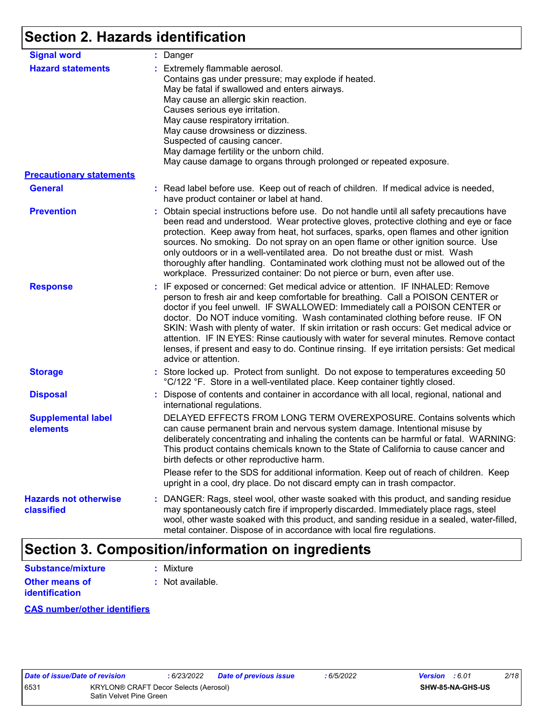# **Section 2. Hazards identification**

| <b>Signal word</b>                         | : Danger                                                                                                                                                                                                                                                                                                                                                                                                                                                                                                                                                                                                                                           |
|--------------------------------------------|----------------------------------------------------------------------------------------------------------------------------------------------------------------------------------------------------------------------------------------------------------------------------------------------------------------------------------------------------------------------------------------------------------------------------------------------------------------------------------------------------------------------------------------------------------------------------------------------------------------------------------------------------|
| <b>Hazard statements</b>                   | : Extremely flammable aerosol.<br>Contains gas under pressure; may explode if heated.<br>May be fatal if swallowed and enters airways.<br>May cause an allergic skin reaction.<br>Causes serious eye irritation.<br>May cause respiratory irritation.<br>May cause drowsiness or dizziness.<br>Suspected of causing cancer.<br>May damage fertility or the unborn child.<br>May cause damage to organs through prolonged or repeated exposure.                                                                                                                                                                                                     |
| <b>Precautionary statements</b>            |                                                                                                                                                                                                                                                                                                                                                                                                                                                                                                                                                                                                                                                    |
| <b>General</b>                             | : Read label before use. Keep out of reach of children. If medical advice is needed,<br>have product container or label at hand.                                                                                                                                                                                                                                                                                                                                                                                                                                                                                                                   |
| <b>Prevention</b>                          | : Obtain special instructions before use. Do not handle until all safety precautions have<br>been read and understood. Wear protective gloves, protective clothing and eye or face<br>protection. Keep away from heat, hot surfaces, sparks, open flames and other ignition<br>sources. No smoking. Do not spray on an open flame or other ignition source. Use<br>only outdoors or in a well-ventilated area. Do not breathe dust or mist. Wash<br>thoroughly after handling. Contaminated work clothing must not be allowed out of the<br>workplace. Pressurized container: Do not pierce or burn, even after use.                               |
| <b>Response</b>                            | : IF exposed or concerned: Get medical advice or attention. IF INHALED: Remove<br>person to fresh air and keep comfortable for breathing. Call a POISON CENTER or<br>doctor if you feel unwell. IF SWALLOWED: Immediately call a POISON CENTER or<br>doctor. Do NOT induce vomiting. Wash contaminated clothing before reuse. IF ON<br>SKIN: Wash with plenty of water. If skin irritation or rash occurs: Get medical advice or<br>attention. IF IN EYES: Rinse cautiously with water for several minutes. Remove contact<br>lenses, if present and easy to do. Continue rinsing. If eye irritation persists: Get medical<br>advice or attention. |
| <b>Storage</b>                             | : Store locked up. Protect from sunlight. Do not expose to temperatures exceeding 50<br>°C/122 °F. Store in a well-ventilated place. Keep container tightly closed.                                                                                                                                                                                                                                                                                                                                                                                                                                                                                |
| <b>Disposal</b>                            | : Dispose of contents and container in accordance with all local, regional, national and<br>international regulations.                                                                                                                                                                                                                                                                                                                                                                                                                                                                                                                             |
| <b>Supplemental label</b><br>elements      | DELAYED EFFECTS FROM LONG TERM OVEREXPOSURE. Contains solvents which<br>can cause permanent brain and nervous system damage. Intentional misuse by<br>deliberately concentrating and inhaling the contents can be harmful or fatal. WARNING:<br>This product contains chemicals known to the State of California to cause cancer and<br>birth defects or other reproductive harm.                                                                                                                                                                                                                                                                  |
|                                            | Please refer to the SDS for additional information. Keep out of reach of children. Keep<br>upright in a cool, dry place. Do not discard empty can in trash compactor.                                                                                                                                                                                                                                                                                                                                                                                                                                                                              |
| <b>Hazards not otherwise</b><br>classified | : DANGER: Rags, steel wool, other waste soaked with this product, and sanding residue<br>may spontaneously catch fire if improperly discarded. Immediately place rags, steel<br>wool, other waste soaked with this product, and sanding residue in a sealed, water-filled,<br>metal container. Dispose of in accordance with local fire regulations.                                                                                                                                                                                                                                                                                               |

### **Section 3. Composition/information on ingredients**

| <b>Substance/mixture</b> | : Mixture        |
|--------------------------|------------------|
| Other means of           | : Not available. |
| <b>identification</b>    |                  |

#### **CAS number/other identifiers**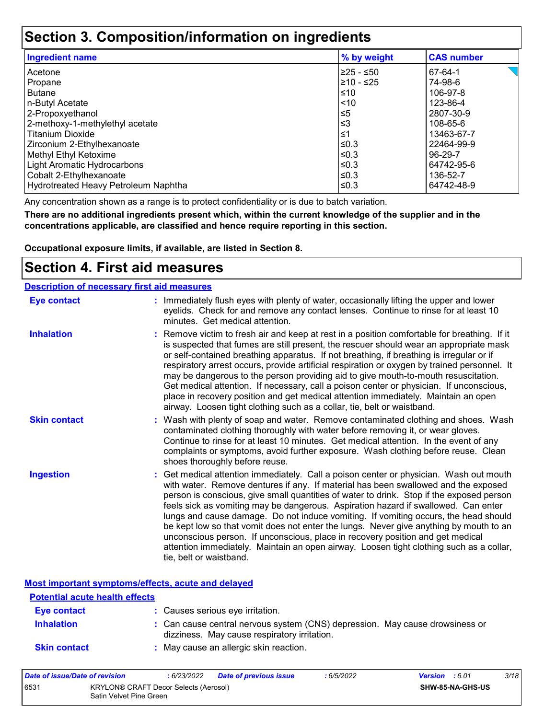### **Section 3. Composition/information on ingredients**

| <b>Ingredient name</b>               | % by weight | <b>CAS number</b> |
|--------------------------------------|-------------|-------------------|
| Acetone                              | l≥25 - ≤50  | 67-64-1           |
| Propane                              | l≥10 - ≤25  | 74-98-6           |
| <b>Butane</b>                        | ≤10         | 106-97-8          |
| n-Butyl Acetate                      | $ $ < 10    | 123-86-4          |
| 2-Propoxyethanol                     | $\leq 5$    | 2807-30-9         |
| 2-methoxy-1-methylethyl acetate      | $≤3$        | 108-65-6          |
| <b>Titanium Dioxide</b>              | 1≤          | 13463-67-7        |
| Zirconium 2-Ethylhexanoate           | l≤0.3       | 22464-99-9        |
| Methyl Ethyl Ketoxime                | ≤0.3        | 96-29-7           |
| Light Aromatic Hydrocarbons          | ≤0.3        | 64742-95-6        |
| Cobalt 2-Ethylhexanoate              | ≤0.3        | 136-52-7          |
| Hydrotreated Heavy Petroleum Naphtha | ≤0.3        | 64742-48-9        |

Any concentration shown as a range is to protect confidentiality or is due to batch variation.

**There are no additional ingredients present which, within the current knowledge of the supplier and in the concentrations applicable, are classified and hence require reporting in this section.**

**Occupational exposure limits, if available, are listed in Section 8.**

### **Section 4. First aid measures**

| <b>Description of necessary first aid measures</b> |                                                                                                                                                                                                                                                                                                                                                                                                                                                                                                                                                                                                                                                                                                                                                         |
|----------------------------------------------------|---------------------------------------------------------------------------------------------------------------------------------------------------------------------------------------------------------------------------------------------------------------------------------------------------------------------------------------------------------------------------------------------------------------------------------------------------------------------------------------------------------------------------------------------------------------------------------------------------------------------------------------------------------------------------------------------------------------------------------------------------------|
| <b>Eye contact</b>                                 | : Immediately flush eyes with plenty of water, occasionally lifting the upper and lower<br>eyelids. Check for and remove any contact lenses. Continue to rinse for at least 10<br>minutes. Get medical attention.                                                                                                                                                                                                                                                                                                                                                                                                                                                                                                                                       |
| <b>Inhalation</b>                                  | : Remove victim to fresh air and keep at rest in a position comfortable for breathing. If it<br>is suspected that fumes are still present, the rescuer should wear an appropriate mask<br>or self-contained breathing apparatus. If not breathing, if breathing is irregular or if<br>respiratory arrest occurs, provide artificial respiration or oxygen by trained personnel. It<br>may be dangerous to the person providing aid to give mouth-to-mouth resuscitation.<br>Get medical attention. If necessary, call a poison center or physician. If unconscious,<br>place in recovery position and get medical attention immediately. Maintain an open<br>airway. Loosen tight clothing such as a collar, tie, belt or waistband.                    |
| <b>Skin contact</b>                                | : Wash with plenty of soap and water. Remove contaminated clothing and shoes. Wash<br>contaminated clothing thoroughly with water before removing it, or wear gloves.<br>Continue to rinse for at least 10 minutes. Get medical attention. In the event of any<br>complaints or symptoms, avoid further exposure. Wash clothing before reuse. Clean<br>shoes thoroughly before reuse.                                                                                                                                                                                                                                                                                                                                                                   |
| <b>Ingestion</b>                                   | : Get medical attention immediately. Call a poison center or physician. Wash out mouth<br>with water. Remove dentures if any. If material has been swallowed and the exposed<br>person is conscious, give small quantities of water to drink. Stop if the exposed person<br>feels sick as vomiting may be dangerous. Aspiration hazard if swallowed. Can enter<br>lungs and cause damage. Do not induce vomiting. If vomiting occurs, the head should<br>be kept low so that vomit does not enter the lungs. Never give anything by mouth to an<br>unconscious person. If unconscious, place in recovery position and get medical<br>attention immediately. Maintain an open airway. Loosen tight clothing such as a collar,<br>tie, belt or waistband. |

**Most important symptoms/effects, acute and delayed**

| <b>Potential acute health effects</b> |                                                                                                                              |
|---------------------------------------|------------------------------------------------------------------------------------------------------------------------------|
| Eye contact                           | : Causes serious eye irritation.                                                                                             |
| <b>Inhalation</b>                     | : Can cause central nervous system (CNS) depression. May cause drowsiness or<br>dizziness. May cause respiratory irritation. |
| <b>Skin contact</b>                   | : May cause an allergic skin reaction.                                                                                       |

| Date of issue/Date of revision |                                                                  | : 6/23/2022 | <b>Date of previous issue</b> | : 6/5/2022 | <b>Version</b> : 6.01   |  | 3/18 |
|--------------------------------|------------------------------------------------------------------|-------------|-------------------------------|------------|-------------------------|--|------|
| 6531                           | KRYLON® CRAFT Decor Selects (Aerosol)<br>Satin Velvet Pine Green |             |                               |            | <b>SHW-85-NA-GHS-US</b> |  |      |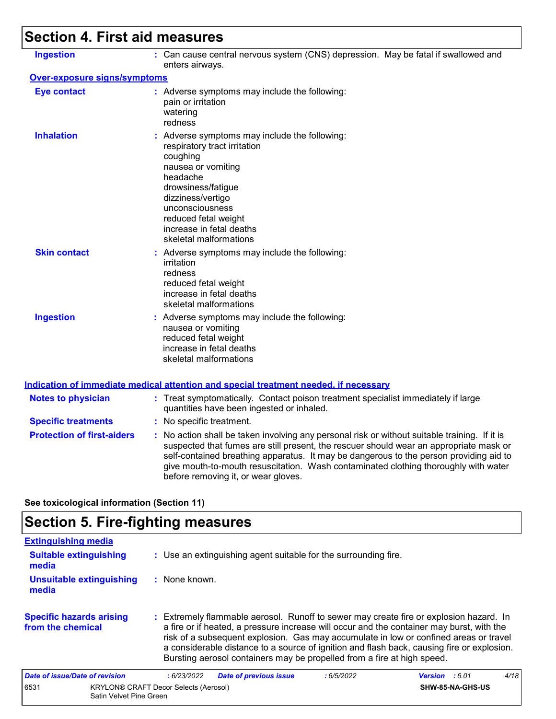# **Section 4. First aid measures**

| <b>Ingestion</b>                    | : Can cause central nervous system (CNS) depression. May be fatal if swallowed and<br>enters airways.                                                                                                                                                                                                                                                                                                           |
|-------------------------------------|-----------------------------------------------------------------------------------------------------------------------------------------------------------------------------------------------------------------------------------------------------------------------------------------------------------------------------------------------------------------------------------------------------------------|
| <b>Over-exposure signs/symptoms</b> |                                                                                                                                                                                                                                                                                                                                                                                                                 |
| <b>Eye contact</b>                  | : Adverse symptoms may include the following:<br>pain or irritation<br>watering<br>redness                                                                                                                                                                                                                                                                                                                      |
| <b>Inhalation</b>                   | : Adverse symptoms may include the following:<br>respiratory tract irritation<br>coughing<br>nausea or vomiting<br>headache<br>drowsiness/fatigue<br>dizziness/vertigo<br>unconsciousness<br>reduced fetal weight<br>increase in fetal deaths<br>skeletal malformations                                                                                                                                         |
| <b>Skin contact</b>                 | : Adverse symptoms may include the following:<br>irritation<br>redness<br>reduced fetal weight<br>increase in fetal deaths<br>skeletal malformations                                                                                                                                                                                                                                                            |
| <b>Ingestion</b>                    | : Adverse symptoms may include the following:<br>nausea or vomiting<br>reduced fetal weight<br>increase in fetal deaths<br>skeletal malformations                                                                                                                                                                                                                                                               |
|                                     | <b>Indication of immediate medical attention and special treatment needed, if necessary</b>                                                                                                                                                                                                                                                                                                                     |
| <b>Notes to physician</b>           | : Treat symptomatically. Contact poison treatment specialist immediately if large<br>quantities have been ingested or inhaled.                                                                                                                                                                                                                                                                                  |
| <b>Specific treatments</b>          | : No specific treatment.                                                                                                                                                                                                                                                                                                                                                                                        |
| <b>Protection of first-aiders</b>   | : No action shall be taken involving any personal risk or without suitable training. If it is<br>suspected that fumes are still present, the rescuer should wear an appropriate mask or<br>self-contained breathing apparatus. It may be dangerous to the person providing aid to<br>give mouth-to-mouth resuscitation. Wash contaminated clothing thoroughly with water<br>before removing it, or wear gloves. |

**See toxicological information (Section 11)**

# **Section 5. Fire-fighting measures**

| <b>Extinguishing media</b>                           |                                                                                                                                                                                                                                                                                                                                                                                                                                                       |
|------------------------------------------------------|-------------------------------------------------------------------------------------------------------------------------------------------------------------------------------------------------------------------------------------------------------------------------------------------------------------------------------------------------------------------------------------------------------------------------------------------------------|
| <b>Suitable extinguishing</b><br>media               | : Use an extinguishing agent suitable for the surrounding fire.                                                                                                                                                                                                                                                                                                                                                                                       |
| Unsuitable extinguishing<br>media                    | : None known.                                                                                                                                                                                                                                                                                                                                                                                                                                         |
| <b>Specific hazards arising</b><br>from the chemical | : Extremely flammable aerosol. Runoff to sewer may create fire or explosion hazard. In<br>a fire or if heated, a pressure increase will occur and the container may burst, with the<br>risk of a subsequent explosion. Gas may accumulate in low or confined areas or travel<br>a considerable distance to a source of ignition and flash back, causing fire or explosion.<br>Bursting aerosol containers may be propelled from a fire at high speed. |
| Date of issue/Date of revision                       | 4/18<br><b>Date of previous issue</b><br>:6/23/2022<br>:6/5/2022<br><b>Version</b> : 6.01                                                                                                                                                                                                                                                                                                                                                             |
| 6531<br>Satin Velvet Pine Green                      | <b>KRYLON® CRAFT Decor Selects (Aerosol)</b><br>SHW-85-NA-GHS-US                                                                                                                                                                                                                                                                                                                                                                                      |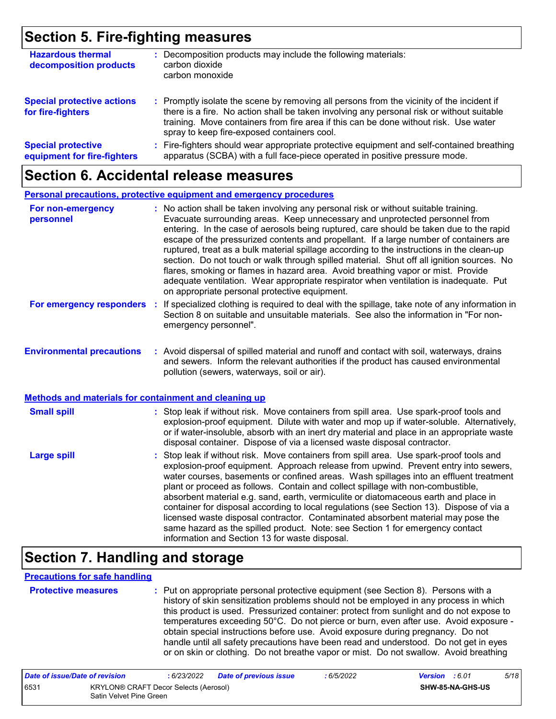### **Section 5. Fire-fighting measures**

| <b>Hazardous thermal</b><br>decomposition products       | Decomposition products may include the following materials:<br>carbon dioxide<br>carbon monoxide                                                                                                                                                                                                                              |
|----------------------------------------------------------|-------------------------------------------------------------------------------------------------------------------------------------------------------------------------------------------------------------------------------------------------------------------------------------------------------------------------------|
| <b>Special protective actions</b><br>for fire-fighters   | : Promptly isolate the scene by removing all persons from the vicinity of the incident if<br>there is a fire. No action shall be taken involving any personal risk or without suitable<br>training. Move containers from fire area if this can be done without risk. Use water<br>spray to keep fire-exposed containers cool. |
| <b>Special protective</b><br>equipment for fire-fighters | : Fire-fighters should wear appropriate protective equipment and self-contained breathing<br>apparatus (SCBA) with a full face-piece operated in positive pressure mode.                                                                                                                                                      |

### **Section 6. Accidental release measures**

|                                                                                                  | <b>Personal precautions, protective equipment and emergency procedures</b>                                                                                                                                                                                                                                                                                                                                                                                                                                                                                                                                                                                                                                                                                                       |  |
|--------------------------------------------------------------------------------------------------|----------------------------------------------------------------------------------------------------------------------------------------------------------------------------------------------------------------------------------------------------------------------------------------------------------------------------------------------------------------------------------------------------------------------------------------------------------------------------------------------------------------------------------------------------------------------------------------------------------------------------------------------------------------------------------------------------------------------------------------------------------------------------------|--|
| For non-emergency<br>personnel                                                                   | : No action shall be taken involving any personal risk or without suitable training.<br>Evacuate surrounding areas. Keep unnecessary and unprotected personnel from<br>entering. In the case of aerosols being ruptured, care should be taken due to the rapid<br>escape of the pressurized contents and propellant. If a large number of containers are<br>ruptured, treat as a bulk material spillage according to the instructions in the clean-up<br>section. Do not touch or walk through spilled material. Shut off all ignition sources. No<br>flares, smoking or flames in hazard area. Avoid breathing vapor or mist. Provide<br>adequate ventilation. Wear appropriate respirator when ventilation is inadequate. Put<br>on appropriate personal protective equipment. |  |
| For emergency responders                                                                         | If specialized clothing is required to deal with the spillage, take note of any information in<br>Section 8 on suitable and unsuitable materials. See also the information in "For non-<br>emergency personnel".                                                                                                                                                                                                                                                                                                                                                                                                                                                                                                                                                                 |  |
| <b>Environmental precautions</b><br><b>Methods and materials for containment and cleaning up</b> | : Avoid dispersal of spilled material and runoff and contact with soil, waterways, drains<br>and sewers. Inform the relevant authorities if the product has caused environmental<br>pollution (sewers, waterways, soil or air).                                                                                                                                                                                                                                                                                                                                                                                                                                                                                                                                                  |  |
|                                                                                                  |                                                                                                                                                                                                                                                                                                                                                                                                                                                                                                                                                                                                                                                                                                                                                                                  |  |
| <b>Small spill</b>                                                                               | : Stop leak if without risk. Move containers from spill area. Use spark-proof tools and<br>explosion-proof equipment. Dilute with water and mop up if water-soluble. Alternatively,<br>or if water-insoluble, absorb with an inert dry material and place in an appropriate waste<br>disposal container. Dispose of via a licensed waste disposal contractor.                                                                                                                                                                                                                                                                                                                                                                                                                    |  |
| <b>Large spill</b>                                                                               | : Stop leak if without risk. Move containers from spill area. Use spark-proof tools and<br>explosion-proof equipment. Approach release from upwind. Prevent entry into sewers,<br>water courses, basements or confined areas. Wash spillages into an effluent treatment<br>plant or proceed as follows. Contain and collect spillage with non-combustible,<br>absorbent material e.g. sand, earth, vermiculite or diatomaceous earth and place in<br>container for disposal according to local regulations (see Section 13). Dispose of via a<br>licensed waste disposal contractor. Contaminated absorbent material may pose the<br>same hazard as the spilled product. Note: see Section 1 for emergency contact<br>information and Section 13 for waste disposal.             |  |

### **Section 7. Handling and storage**

#### **Precautions for safe handling**

|  | <b>Protective mea</b> |
|--|-----------------------|
|  |                       |
|  |                       |

**Protective measures :** Put on appropriate personal protective equipment (see Section 8). Persons with a history of skin sensitization problems should not be employed in any process in which this product is used. Pressurized container: protect from sunlight and do not expose to temperatures exceeding 50°C. Do not pierce or burn, even after use. Avoid exposure obtain special instructions before use. Avoid exposure during pregnancy. Do not handle until all safety precautions have been read and understood. Do not get in eyes or on skin or clothing. Do not breathe vapor or mist. Do not swallow. Avoid breathing

| Date of issue/Date of revision |                                                                         | : 6/23/2022 | <b>Date of previous issue</b> | : 6/5/2022 | <b>Version</b> : 6.01 |                  | 5/18 |
|--------------------------------|-------------------------------------------------------------------------|-------------|-------------------------------|------------|-----------------------|------------------|------|
| 6531                           | <b>KRYLON® CRAFT Decor Selects (Aerosol)</b><br>Satin Velvet Pine Green |             |                               |            |                       | SHW-85-NA-GHS-US |      |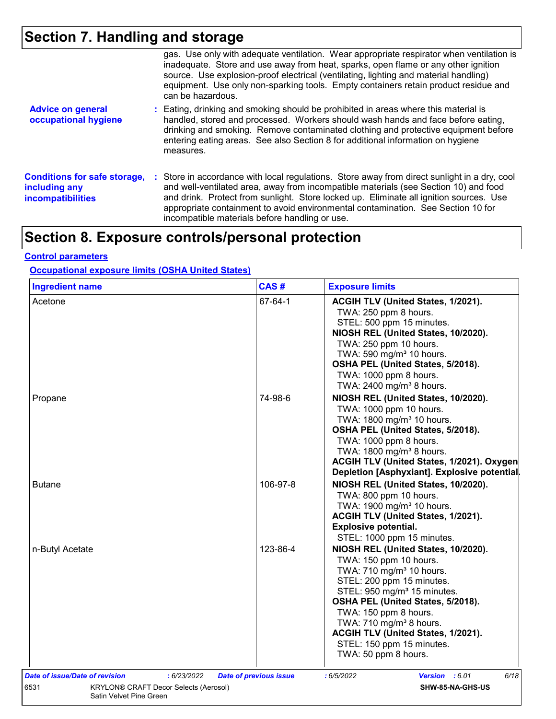# **Section 7. Handling and storage**

|                                                                                  | gas. Use only with adequate ventilation. Wear appropriate respirator when ventilation is<br>inadequate. Store and use away from heat, sparks, open flame or any other ignition<br>source. Use explosion-proof electrical (ventilating, lighting and material handling)<br>equipment. Use only non-sparking tools. Empty containers retain product residue and<br>can be hazardous.                                   |
|----------------------------------------------------------------------------------|----------------------------------------------------------------------------------------------------------------------------------------------------------------------------------------------------------------------------------------------------------------------------------------------------------------------------------------------------------------------------------------------------------------------|
| <b>Advice on general</b><br>occupational hygiene                                 | : Eating, drinking and smoking should be prohibited in areas where this material is<br>handled, stored and processed. Workers should wash hands and face before eating,<br>drinking and smoking. Remove contaminated clothing and protective equipment before<br>entering eating areas. See also Section 8 for additional information on hygiene<br>measures.                                                        |
| <b>Conditions for safe storage,</b><br>including any<br><b>incompatibilities</b> | : Store in accordance with local regulations. Store away from direct sunlight in a dry, cool<br>and well-ventilated area, away from incompatible materials (see Section 10) and food<br>and drink. Protect from sunlight. Store locked up. Eliminate all ignition sources. Use<br>appropriate containment to avoid environmental contamination. See Section 10 for<br>incompatible materials before handling or use. |

# **Section 8. Exposure controls/personal protection**

#### **Control parameters**

#### **Occupational exposure limits (OSHA United States)**

| <b>Ingredient name</b>                                                          | CAS#                          | <b>Exposure limits</b>                                                                                                                                                                                                                                                                                                                                                        |
|---------------------------------------------------------------------------------|-------------------------------|-------------------------------------------------------------------------------------------------------------------------------------------------------------------------------------------------------------------------------------------------------------------------------------------------------------------------------------------------------------------------------|
| Acetone                                                                         | 67-64-1                       | ACGIH TLV (United States, 1/2021).<br>TWA: 250 ppm 8 hours.<br>STEL: 500 ppm 15 minutes.<br>NIOSH REL (United States, 10/2020).<br>TWA: 250 ppm 10 hours.<br>TWA: 590 mg/m <sup>3</sup> 10 hours.<br>OSHA PEL (United States, 5/2018).<br>TWA: 1000 ppm 8 hours.<br>TWA: 2400 mg/m <sup>3</sup> 8 hours.                                                                      |
| Propane                                                                         | 74-98-6                       | NIOSH REL (United States, 10/2020).<br>TWA: 1000 ppm 10 hours.<br>TWA: 1800 mg/m <sup>3</sup> 10 hours.<br>OSHA PEL (United States, 5/2018).<br>TWA: 1000 ppm 8 hours.<br>TWA: 1800 mg/m <sup>3</sup> 8 hours.<br>ACGIH TLV (United States, 1/2021). Oxygen<br>Depletion [Asphyxiant]. Explosive potential.                                                                   |
| <b>Butane</b>                                                                   | 106-97-8                      | NIOSH REL (United States, 10/2020).<br>TWA: 800 ppm 10 hours.<br>TWA: 1900 mg/m <sup>3</sup> 10 hours.<br>ACGIH TLV (United States, 1/2021).<br><b>Explosive potential.</b><br>STEL: 1000 ppm 15 minutes.                                                                                                                                                                     |
| n-Butyl Acetate                                                                 | 123-86-4                      | NIOSH REL (United States, 10/2020).<br>TWA: 150 ppm 10 hours.<br>TWA: 710 mg/m <sup>3</sup> 10 hours.<br>STEL: 200 ppm 15 minutes.<br>STEL: 950 mg/m <sup>3</sup> 15 minutes.<br>OSHA PEL (United States, 5/2018).<br>TWA: 150 ppm 8 hours.<br>TWA: 710 mg/m <sup>3</sup> 8 hours.<br>ACGIH TLV (United States, 1/2021).<br>STEL: 150 ppm 15 minutes.<br>TWA: 50 ppm 8 hours. |
| Date of issue/Date of revision<br>: 6/23/2022                                   | <b>Date of previous issue</b> | : 6/5/2022<br>Version : 6.01<br>6/18                                                                                                                                                                                                                                                                                                                                          |
| 6531<br><b>KRYLON® CRAFT Decor Selects (Aerosol)</b><br>Satin Velvet Pine Green |                               | SHW-85-NA-GHS-US                                                                                                                                                                                                                                                                                                                                                              |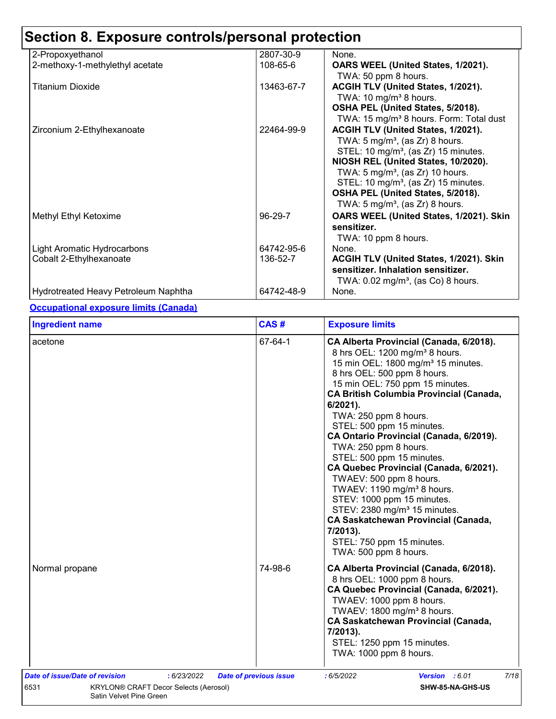| 2-Propoxyethanol                     | 2807-30-9  | None.                                               |
|--------------------------------------|------------|-----------------------------------------------------|
| 2-methoxy-1-methylethyl acetate      | 108-65-6   | OARS WEEL (United States, 1/2021).                  |
|                                      |            | TWA: 50 ppm 8 hours.                                |
| <b>Titanium Dioxide</b>              | 13463-67-7 | ACGIH TLV (United States, 1/2021).                  |
|                                      |            | TWA: $10 \text{ mg/m}^3$ 8 hours.                   |
|                                      |            | OSHA PEL (United States, 5/2018).                   |
|                                      |            | TWA: 15 mg/m <sup>3</sup> 8 hours. Form: Total dust |
| Zirconium 2-Ethylhexanoate           | 22464-99-9 | ACGIH TLV (United States, 1/2021).                  |
|                                      |            | TWA: $5 \text{ mg/m}^3$ , (as Zr) 8 hours.          |
|                                      |            | STEL: 10 mg/m <sup>3</sup> , (as Zr) 15 minutes.    |
|                                      |            | NIOSH REL (United States, 10/2020).                 |
|                                      |            | TWA: $5 \text{ mg/m}^3$ , (as Zr) 10 hours.         |
|                                      |            | STEL: 10 mg/m <sup>3</sup> , (as Zr) 15 minutes.    |
|                                      |            | OSHA PEL (United States, 5/2018).                   |
|                                      |            | TWA: $5 \text{ mg/m}^3$ , (as Zr) 8 hours.          |
| Methyl Ethyl Ketoxime                | 96-29-7    | OARS WEEL (United States, 1/2021). Skin             |
|                                      |            | sensitizer.                                         |
|                                      |            | TWA: 10 ppm 8 hours.                                |
| <b>Light Aromatic Hydrocarbons</b>   | 64742-95-6 | None.                                               |
| Cobalt 2-Ethylhexanoate              | 136-52-7   | ACGIH TLV (United States, 1/2021). Skin             |
|                                      |            | sensitizer. Inhalation sensitizer.                  |
|                                      |            | TWA: $0.02$ mg/m <sup>3</sup> , (as Co) 8 hours.    |
| Hydrotreated Heavy Petroleum Naphtha | 64742-48-9 | None.                                               |

#### **Occupational exposure limits (Canada)**

| <b>Ingredient name</b>                                                                                                           | CAS#                          | <b>Exposure limits</b>                                                                                                                                                                                                                                                                                                                                                                                                                                                                                                                                                                                                                                                                                                                     |
|----------------------------------------------------------------------------------------------------------------------------------|-------------------------------|--------------------------------------------------------------------------------------------------------------------------------------------------------------------------------------------------------------------------------------------------------------------------------------------------------------------------------------------------------------------------------------------------------------------------------------------------------------------------------------------------------------------------------------------------------------------------------------------------------------------------------------------------------------------------------------------------------------------------------------------|
| acetone                                                                                                                          | 67-64-1                       | CA Alberta Provincial (Canada, 6/2018).<br>8 hrs OEL: 1200 mg/m <sup>3</sup> 8 hours.<br>15 min OEL: 1800 mg/m <sup>3</sup> 15 minutes.<br>8 hrs OEL: 500 ppm 8 hours.<br>15 min OEL: 750 ppm 15 minutes.<br><b>CA British Columbia Provincial (Canada,</b><br>$6/2021$ ).<br>TWA: 250 ppm 8 hours.<br>STEL: 500 ppm 15 minutes.<br>CA Ontario Provincial (Canada, 6/2019).<br>TWA: 250 ppm 8 hours.<br>STEL: 500 ppm 15 minutes.<br>CA Quebec Provincial (Canada, 6/2021).<br>TWAEV: 500 ppm 8 hours.<br>TWAEV: 1190 mg/m <sup>3</sup> 8 hours.<br>STEV: 1000 ppm 15 minutes.<br>STEV: 2380 mg/m <sup>3</sup> 15 minutes.<br><b>CA Saskatchewan Provincial (Canada,</b><br>7/2013).<br>STEL: 750 ppm 15 minutes.<br>TWA: 500 ppm 8 hours. |
| Normal propane                                                                                                                   | 74-98-6                       | CA Alberta Provincial (Canada, 6/2018).<br>8 hrs OEL: 1000 ppm 8 hours.<br>CA Quebec Provincial (Canada, 6/2021).<br>TWAEV: 1000 ppm 8 hours.<br>TWAEV: 1800 mg/m <sup>3</sup> 8 hours.<br><b>CA Saskatchewan Provincial (Canada,</b><br>7/2013).<br>STEL: 1250 ppm 15 minutes.<br>TWA: 1000 ppm 8 hours.                                                                                                                                                                                                                                                                                                                                                                                                                                  |
| Date of issue/Date of revision<br>: 6/23/2022<br>6531<br><b>KRYLON® CRAFT Decor Selects (Aerosol)</b><br>Satin Velvet Pine Green | <b>Date of previous issue</b> | 7/18<br>:6/5/2022<br>Version : 6.01<br>SHW-85-NA-GHS-US                                                                                                                                                                                                                                                                                                                                                                                                                                                                                                                                                                                                                                                                                    |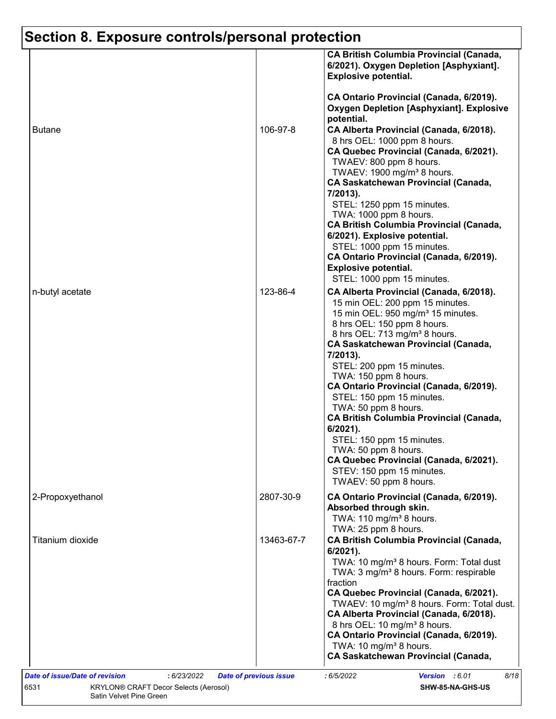|                  |            | 6/2021). Oxygen Depletion [Asphyxiant].<br><b>Explosive potential.</b><br>CA Ontario Provincial (Canada, 6/2019).<br><b>Oxygen Depletion [Asphyxiant]. Explosive</b>                                                                                                                                                                                                                                                                                                                                                                                                                                                                           |
|------------------|------------|------------------------------------------------------------------------------------------------------------------------------------------------------------------------------------------------------------------------------------------------------------------------------------------------------------------------------------------------------------------------------------------------------------------------------------------------------------------------------------------------------------------------------------------------------------------------------------------------------------------------------------------------|
| <b>Butane</b>    | 106-97-8   | potential.<br>CA Alberta Provincial (Canada, 6/2018).<br>8 hrs OEL: 1000 ppm 8 hours.<br>CA Quebec Provincial (Canada, 6/2021).<br>TWAEV: 800 ppm 8 hours.<br>TWAEV: 1900 mg/m <sup>3</sup> 8 hours.<br><b>CA Saskatchewan Provincial (Canada,</b><br>7/2013).<br>STEL: 1250 ppm 15 minutes.                                                                                                                                                                                                                                                                                                                                                   |
|                  |            | TWA: 1000 ppm 8 hours.<br><b>CA British Columbia Provincial (Canada,</b><br>6/2021). Explosive potential.<br>STEL: 1000 ppm 15 minutes.<br>CA Ontario Provincial (Canada, 6/2019).<br><b>Explosive potential.</b><br>STEL: 1000 ppm 15 minutes.                                                                                                                                                                                                                                                                                                                                                                                                |
| n-butyl acetate  | 123-86-4   | CA Alberta Provincial (Canada, 6/2018).<br>15 min OEL: 200 ppm 15 minutes.<br>15 min OEL: 950 mg/m <sup>3</sup> 15 minutes.<br>8 hrs OEL: 150 ppm 8 hours.<br>8 hrs OEL: 713 mg/m <sup>3</sup> 8 hours.<br><b>CA Saskatchewan Provincial (Canada,</b><br>7/2013).<br>STEL: 200 ppm 15 minutes.<br>TWA: 150 ppm 8 hours.<br>CA Ontario Provincial (Canada, 6/2019).<br>STEL: 150 ppm 15 minutes.<br>TWA: 50 ppm 8 hours.<br><b>CA British Columbia Provincial (Canada,</b><br>$6/2021$ ).<br>STEL: 150 ppm 15 minutes.<br>TWA: 50 ppm 8 hours.<br>CA Quebec Provincial (Canada, 6/2021).<br>STEV: 150 ppm 15 minutes.<br>TWAEV: 50 ppm 8 hours. |
| 2-Propoxyethanol | 2807-30-9  | CA Ontario Provincial (Canada, 6/2019).<br>Absorbed through skin.<br>TWA: 110 mg/m <sup>3</sup> 8 hours.                                                                                                                                                                                                                                                                                                                                                                                                                                                                                                                                       |
| Titanium dioxide | 13463-67-7 | TWA: 25 ppm 8 hours.<br><b>CA British Columbia Provincial (Canada,</b><br>6/2021).<br>TWA: 10 mg/m <sup>3</sup> 8 hours. Form: Total dust<br>TWA: 3 mg/m <sup>3</sup> 8 hours. Form: respirable<br>fraction<br>CA Quebec Provincial (Canada, 6/2021).<br>TWAEV: 10 mg/m <sup>3</sup> 8 hours. Form: Total dust.<br>CA Alberta Provincial (Canada, 6/2018).<br>8 hrs OEL: 10 mg/m <sup>3</sup> 8 hours.<br>CA Ontario Provincial (Canada, 6/2019).<br>TWA: 10 mg/m <sup>3</sup> 8 hours.<br><b>CA Saskatchewan Provincial (Canada,</b>                                                                                                          |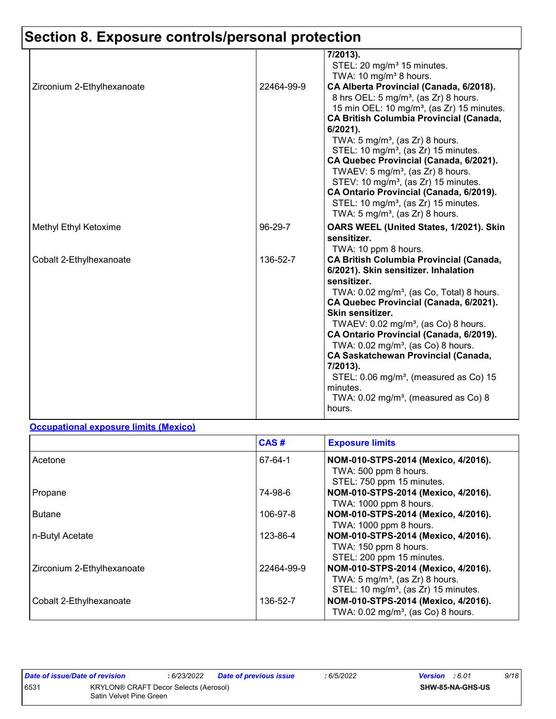|                            |            | 7/2013).<br>STEL: 20 mg/m <sup>3</sup> 15 minutes.<br>TWA: 10 mg/m <sup>3</sup> 8 hours.                                                                                                                                                                                                                                                                                                                                                                                                                                                                                                                           |
|----------------------------|------------|--------------------------------------------------------------------------------------------------------------------------------------------------------------------------------------------------------------------------------------------------------------------------------------------------------------------------------------------------------------------------------------------------------------------------------------------------------------------------------------------------------------------------------------------------------------------------------------------------------------------|
| Zirconium 2-Ethylhexanoate | 22464-99-9 | CA Alberta Provincial (Canada, 6/2018).<br>8 hrs OEL: 5 mg/m <sup>3</sup> , (as Zr) 8 hours.<br>15 min OEL: 10 mg/m <sup>3</sup> , (as Zr) 15 minutes.<br><b>CA British Columbia Provincial (Canada,</b><br>6/2021).<br>TWA: $5 \text{ mg/m}^3$ , (as Zr) 8 hours.<br>STEL: 10 mg/m <sup>3</sup> , (as Zr) 15 minutes.<br>CA Quebec Provincial (Canada, 6/2021).<br>TWAEV: 5 mg/m <sup>3</sup> , (as Zr) 8 hours.<br>STEV: 10 mg/m <sup>3</sup> , (as Zr) 15 minutes.<br>CA Ontario Provincial (Canada, 6/2019).<br>STEL: 10 mg/m <sup>3</sup> , (as Zr) 15 minutes.<br>TWA: $5 \text{ mg/m}^3$ , (as Zr) 8 hours. |
| Methyl Ethyl Ketoxime      | 96-29-7    | OARS WEEL (United States, 1/2021). Skin<br>sensitizer.<br>TWA: 10 ppm 8 hours.                                                                                                                                                                                                                                                                                                                                                                                                                                                                                                                                     |
| Cobalt 2-Ethylhexanoate    | 136-52-7   | <b>CA British Columbia Provincial (Canada,</b><br>6/2021). Skin sensitizer. Inhalation<br>sensitizer.<br>TWA: 0.02 mg/m <sup>3</sup> , (as Co, Total) 8 hours.<br>CA Quebec Provincial (Canada, 6/2021).<br>Skin sensitizer.<br>TWAEV: 0.02 mg/m <sup>3</sup> , (as Co) 8 hours.<br>CA Ontario Provincial (Canada, 6/2019).<br>TWA: $0.02$ mg/m <sup>3</sup> , (as Co) 8 hours.<br><b>CA Saskatchewan Provincial (Canada,</b><br>7/2013).<br>STEL: 0.06 mg/m <sup>3</sup> , (measured as Co) 15<br>minutes.<br>TWA: $0.02$ mg/m <sup>3</sup> , (measured as Co) 8<br>hours.                                        |

#### **Occupational exposure limits (Mexico)**

|                            | CAS#       | <b>Exposure limits</b>                                                                                                                |
|----------------------------|------------|---------------------------------------------------------------------------------------------------------------------------------------|
| Acetone                    | 67-64-1    | NOM-010-STPS-2014 (Mexico, 4/2016).<br>TWA: 500 ppm 8 hours.<br>STEL: 750 ppm 15 minutes.                                             |
| Propane                    | 74-98-6    | NOM-010-STPS-2014 (Mexico, 4/2016).<br>TWA: 1000 ppm 8 hours.                                                                         |
| <b>Butane</b>              | 106-97-8   | NOM-010-STPS-2014 (Mexico, 4/2016).<br>TWA: 1000 ppm 8 hours.                                                                         |
| n-Butyl Acetate            | 123-86-4   | NOM-010-STPS-2014 (Mexico, 4/2016).<br>TWA: 150 ppm 8 hours.<br>STEL: 200 ppm 15 minutes.                                             |
| Zirconium 2-Ethylhexanoate | 22464-99-9 | NOM-010-STPS-2014 (Mexico, 4/2016).<br>TWA: $5 \text{ mg/m}^3$ , (as Zr) 8 hours.<br>STEL: 10 mg/m <sup>3</sup> , (as Zr) 15 minutes. |
| Cobalt 2-Ethylhexanoate    | 136-52-7   | NOM-010-STPS-2014 (Mexico, 4/2016).<br>TWA: 0.02 mg/m <sup>3</sup> , (as Co) 8 hours.                                                 |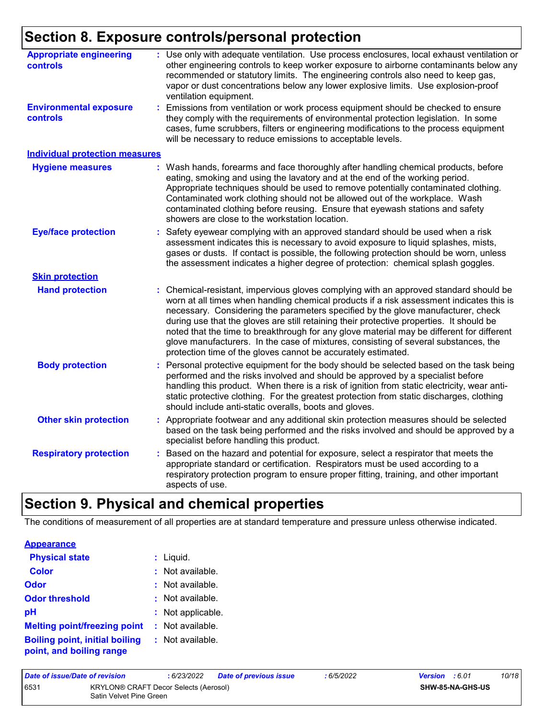| <b>Appropriate engineering</b><br>controls       | : Use only with adequate ventilation. Use process enclosures, local exhaust ventilation or<br>other engineering controls to keep worker exposure to airborne contaminants below any<br>recommended or statutory limits. The engineering controls also need to keep gas,<br>vapor or dust concentrations below any lower explosive limits. Use explosion-proof<br>ventilation equipment.                                                                                                                                                                                                                              |
|--------------------------------------------------|----------------------------------------------------------------------------------------------------------------------------------------------------------------------------------------------------------------------------------------------------------------------------------------------------------------------------------------------------------------------------------------------------------------------------------------------------------------------------------------------------------------------------------------------------------------------------------------------------------------------|
| <b>Environmental exposure</b><br><b>controls</b> | Emissions from ventilation or work process equipment should be checked to ensure<br>they comply with the requirements of environmental protection legislation. In some<br>cases, fume scrubbers, filters or engineering modifications to the process equipment<br>will be necessary to reduce emissions to acceptable levels.                                                                                                                                                                                                                                                                                        |
| <b>Individual protection measures</b>            |                                                                                                                                                                                                                                                                                                                                                                                                                                                                                                                                                                                                                      |
| <b>Hygiene measures</b>                          | Wash hands, forearms and face thoroughly after handling chemical products, before<br>eating, smoking and using the lavatory and at the end of the working period.<br>Appropriate techniques should be used to remove potentially contaminated clothing.<br>Contaminated work clothing should not be allowed out of the workplace. Wash<br>contaminated clothing before reusing. Ensure that eyewash stations and safety<br>showers are close to the workstation location.                                                                                                                                            |
| <b>Eye/face protection</b>                       | Safety eyewear complying with an approved standard should be used when a risk<br>assessment indicates this is necessary to avoid exposure to liquid splashes, mists,<br>gases or dusts. If contact is possible, the following protection should be worn, unless<br>the assessment indicates a higher degree of protection: chemical splash goggles.                                                                                                                                                                                                                                                                  |
| <b>Skin protection</b>                           |                                                                                                                                                                                                                                                                                                                                                                                                                                                                                                                                                                                                                      |
| <b>Hand protection</b>                           | Chemical-resistant, impervious gloves complying with an approved standard should be<br>worn at all times when handling chemical products if a risk assessment indicates this is<br>necessary. Considering the parameters specified by the glove manufacturer, check<br>during use that the gloves are still retaining their protective properties. It should be<br>noted that the time to breakthrough for any glove material may be different for different<br>glove manufacturers. In the case of mixtures, consisting of several substances, the<br>protection time of the gloves cannot be accurately estimated. |
| <b>Body protection</b>                           | Personal protective equipment for the body should be selected based on the task being<br>performed and the risks involved and should be approved by a specialist before<br>handling this product. When there is a risk of ignition from static electricity, wear anti-<br>static protective clothing. For the greatest protection from static discharges, clothing<br>should include anti-static overalls, boots and gloves.                                                                                                                                                                                         |
| <b>Other skin protection</b>                     | Appropriate footwear and any additional skin protection measures should be selected<br>based on the task being performed and the risks involved and should be approved by a<br>specialist before handling this product.                                                                                                                                                                                                                                                                                                                                                                                              |
| <b>Respiratory protection</b>                    | Based on the hazard and potential for exposure, select a respirator that meets the<br>appropriate standard or certification. Respirators must be used according to a<br>respiratory protection program to ensure proper fitting, training, and other important<br>aspects of use.                                                                                                                                                                                                                                                                                                                                    |

## **Section 9. Physical and chemical properties**

The conditions of measurement of all properties are at standard temperature and pressure unless otherwise indicated.

|  |  |  | <b>Appearance</b> |  |  |  |
|--|--|--|-------------------|--|--|--|
|--|--|--|-------------------|--|--|--|

| <b>Physical state</b>                                             | $:$ Liquid.       |
|-------------------------------------------------------------------|-------------------|
| <b>Color</b>                                                      | : Not available.  |
| <b>Odor</b>                                                       | : Not available.  |
| <b>Odor threshold</b>                                             | : Not available.  |
| рH                                                                | : Not applicable. |
| <b>Melting point/freezing point</b>                               | : Not available.  |
| <b>Boiling point, initial boiling</b><br>point, and boiling range | : Not available.  |

| Date of issue/Date of revision                                           |  | : 6/23/2022 | <b>Date of previous issue</b> | : 6/5/2022 | <b>Version</b> : 6.01 |  | 10/18 |
|--------------------------------------------------------------------------|--|-------------|-------------------------------|------------|-----------------------|--|-------|
| 6531<br>KRYLON® CRAFT Decor Selects (Aerosol)<br>Satin Velvet Pine Green |  |             |                               |            | SHW-85-NA-GHS-US      |  |       |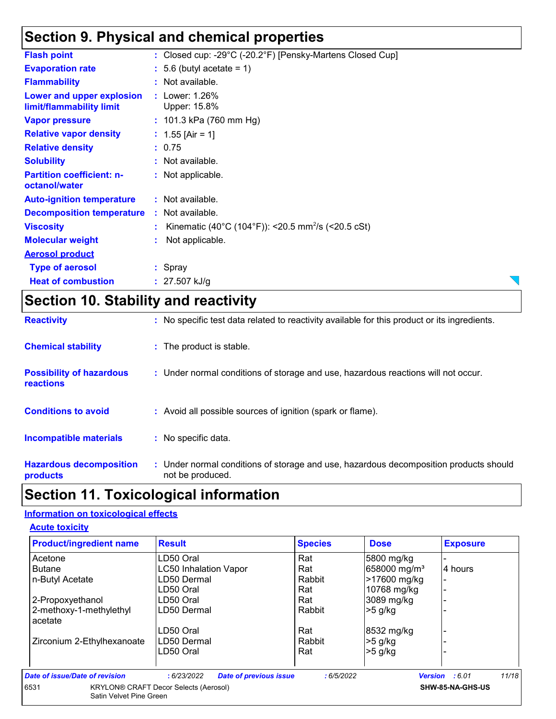### **Section 9. Physical and chemical properties**

| <b>Heat of combustion</b>                             | : $27.507$ kJ/g                                                  |  |
|-------------------------------------------------------|------------------------------------------------------------------|--|
| <b>Type of aerosol</b>                                | : Spray                                                          |  |
| <b>Aerosol product</b>                                |                                                                  |  |
| <b>Molecular weight</b>                               | Not applicable.                                                  |  |
| <b>Viscosity</b>                                      | : Kinematic (40°C (104°F)): <20.5 mm <sup>2</sup> /s (<20.5 cSt) |  |
| <b>Decomposition temperature</b>                      | : Not available.                                                 |  |
| <b>Auto-ignition temperature</b>                      | : Not available.                                                 |  |
| <b>Partition coefficient: n-</b><br>octanol/water     | : Not applicable.                                                |  |
| <b>Solubility</b>                                     | : Not available.                                                 |  |
| <b>Relative density</b>                               | : 0.75                                                           |  |
| <b>Relative vapor density</b>                         | : $1.55$ [Air = 1]                                               |  |
| <b>Vapor pressure</b>                                 | : $101.3$ kPa (760 mm Hg)                                        |  |
| Lower and upper explosion<br>limit/flammability limit | : Lower: 1.26%<br>Upper: 15.8%                                   |  |
| <b>Flammability</b>                                   | : Not available.                                                 |  |
| <b>Evaporation rate</b>                               | $: 5.6$ (butyl acetate = 1)                                      |  |
| <b>Flash point</b>                                    | : Closed cup: -29°C (-20.2°F) [Pensky-Martens Closed Cup]        |  |

## **Section 10. Stability and reactivity**

| <b>Reactivity</b>                            | : No specific test data related to reactivity available for this product or its ingredients.              |
|----------------------------------------------|-----------------------------------------------------------------------------------------------------------|
| <b>Chemical stability</b>                    | : The product is stable.                                                                                  |
| <b>Possibility of hazardous</b><br>reactions | : Under normal conditions of storage and use, hazardous reactions will not occur.                         |
| <b>Conditions to avoid</b>                   | : Avoid all possible sources of ignition (spark or flame).                                                |
| <b>Incompatible materials</b>                | : No specific data.                                                                                       |
| <b>Hazardous decomposition</b><br>products   | : Under normal conditions of storage and use, hazardous decomposition products should<br>not be produced. |

# **Section 11. Toxicological information**

#### **Information on toxicological effects**

| <b>Product/ingredient name</b>     | <b>Result</b>                                | <b>Species</b> | <b>Dose</b>              | <b>Exposure</b>                |
|------------------------------------|----------------------------------------------|----------------|--------------------------|--------------------------------|
| Acetone                            | LD50 Oral                                    | Rat            | 5800 mg/kg               |                                |
| <b>Butane</b>                      | <b>LC50 Inhalation Vapor</b>                 | Rat            | 658000 mg/m <sup>3</sup> | 4 hours                        |
| n-Butyl Acetate                    | LD50 Dermal                                  | Rabbit         | >17600 mg/kg             |                                |
|                                    | LD50 Oral                                    | Rat            | 10768 mg/kg              |                                |
| 2-Propoxyethanol                   | LD50 Oral                                    | Rat            | 3089 mg/kg               |                                |
| 2-methoxy-1-methylethyl<br>acetate | LD50 Dermal                                  | Rabbit         | $>5$ g/kg                |                                |
|                                    | LD50 Oral                                    | Rat            | 8532 mg/kg               |                                |
| Zirconium 2-Ethylhexanoate         | LD50 Dermal                                  | Rabbit         | $>5$ g/kg                |                                |
|                                    | LD50 Oral                                    | Rat            | $>5$ g/kg                |                                |
| Date of issue/Date of revision     | : 6/23/2022<br><b>Date of previous issue</b> | :6/5/2022      |                          | 11/18<br><b>Version</b> : 6.01 |
| 6531<br>Satin Velvet Pine Green    | <b>KRYLON® CRAFT Decor Selects (Aerosol)</b> |                |                          | SHW-85-NA-GHS-US               |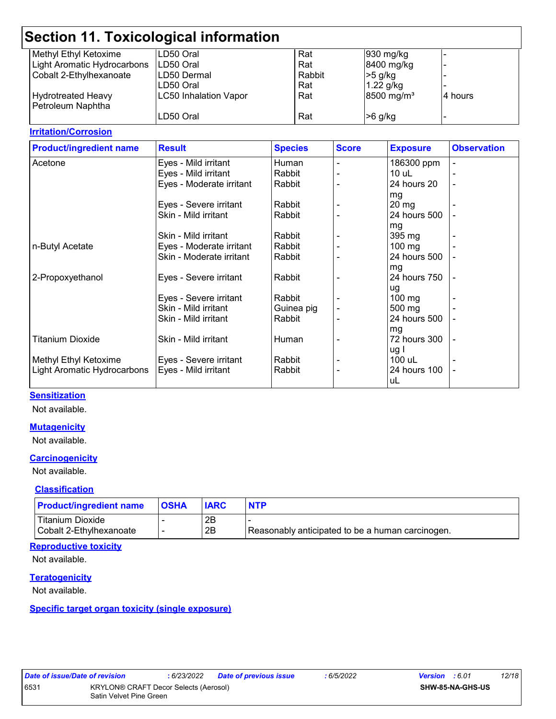| <b>Section 11. Toxicological information</b> |                              |        |                        |          |  |
|----------------------------------------------|------------------------------|--------|------------------------|----------|--|
| Methyl Ethyl Ketoxime                        | LD50 Oral                    | Rat    | 930 mg/kg              |          |  |
| Light Aromatic Hydrocarbons                  | ILD50 Oral                   | Rat    | 8400 mg/kg             |          |  |
| Cobalt 2-Ethylhexanoate                      | LD50 Dermal                  | Rabbit | $>5$ g/kg              |          |  |
|                                              | LD50 Oral                    | Rat    | $1.22$ g/kg            |          |  |
| <b>Hydrotreated Heavy</b>                    | <b>LC50 Inhalation Vapor</b> | Rat    | 8500 mg/m <sup>3</sup> | I4 hours |  |
| Petroleum Naphtha                            |                              |        |                        |          |  |
|                                              | LD50 Oral                    | Rat    | $>6$ g/kg              |          |  |
|                                              |                              |        |                        |          |  |

#### **Irritation/Corrosion**

| <b>Product/ingredient name</b> | <b>Result</b>            | <b>Species</b> | <b>Score</b> | <b>Exposure</b>  | <b>Observation</b> |
|--------------------------------|--------------------------|----------------|--------------|------------------|--------------------|
| Acetone                        | Eyes - Mild irritant     | Human          |              | 186300 ppm       |                    |
|                                | Eyes - Mild irritant     | Rabbit         |              | $10$ uL          |                    |
|                                | Eyes - Moderate irritant | Rabbit         |              | 24 hours 20      | $\blacksquare$     |
|                                |                          |                |              | mg               |                    |
|                                | Eyes - Severe irritant   | Rabbit         |              | $20 \, mg$       |                    |
|                                | Skin - Mild irritant     | Rabbit         |              | 24 hours 500     |                    |
|                                |                          |                |              | mg               |                    |
|                                | Skin - Mild irritant     | Rabbit         |              | 395 mg           |                    |
| n-Butyl Acetate                | Eyes - Moderate irritant | Rabbit         |              | 100 mg           |                    |
|                                | Skin - Moderate irritant | Rabbit         |              | 24 hours 500     |                    |
|                                |                          |                |              | mg               |                    |
| 2-Propoxyethanol               | Eyes - Severe irritant   | Rabbit         |              | 24 hours 750     |                    |
|                                |                          |                |              | ug               |                    |
|                                | Eyes - Severe irritant   | Rabbit         |              | $100 \text{ mg}$ |                    |
|                                | Skin - Mild irritant     | Guinea pig     |              | 500 mg           |                    |
|                                | Skin - Mild irritant     | Rabbit         |              | 24 hours 500     |                    |
|                                |                          |                |              | mg               |                    |
| <b>Titanium Dioxide</b>        | Skin - Mild irritant     | Human          |              | 72 hours 300     |                    |
|                                |                          |                |              | ug I             |                    |
| Methyl Ethyl Ketoxime          | Eyes - Severe irritant   | Rabbit         |              | 100 uL           |                    |
| Light Aromatic Hydrocarbons    | Eyes - Mild irritant     | Rabbit         |              | 24 hours 100     | ۰                  |
|                                |                          |                |              | uL               |                    |

#### **Sensitization**

Not available.

#### **Mutagenicity**

Not available.

#### **Carcinogenicity**

Not available.

#### **Classification**

| <b>Product/ingredient name</b> | <b>OSHA</b> |    | <b>NTP</b>                                       |
|--------------------------------|-------------|----|--------------------------------------------------|
| Titanium Dioxide               |             | 2Β |                                                  |
| Cobalt 2-Ethylhexanoate        |             | 2Β | Reasonably anticipated to be a human carcinogen. |

#### **Reproductive toxicity**

Not available.

#### **Teratogenicity**

Not available.

#### **Specific target organ toxicity (single exposure)**

| <i><b>Date of ISSU</b></i> |  |  |
|----------------------------|--|--|
| 3531                       |  |  |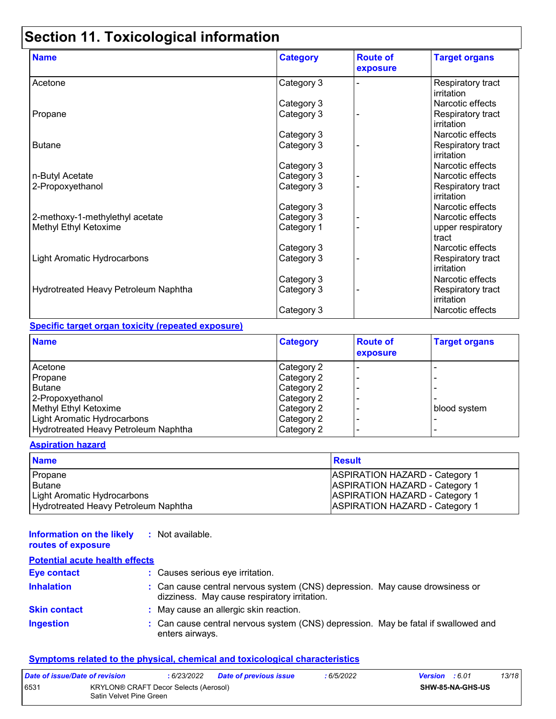# **Section 11. Toxicological information**

| <b>Name</b>                          | <b>Category</b> | <b>Route of</b><br>exposure | <b>Target organs</b>            |
|--------------------------------------|-----------------|-----------------------------|---------------------------------|
| Acetone                              | Category 3      |                             | Respiratory tract<br>irritation |
|                                      | Category 3      |                             | Narcotic effects                |
| Propane                              | Category 3      |                             | Respiratory tract<br>irritation |
|                                      | Category 3      |                             | Narcotic effects                |
| <b>Butane</b>                        | Category 3      |                             | Respiratory tract<br>irritation |
|                                      | Category 3      |                             | Narcotic effects                |
| n-Butyl Acetate                      | Category 3      |                             | Narcotic effects                |
| 2-Propoxyethanol                     | Category 3      |                             | Respiratory tract<br>irritation |
|                                      | Category 3      |                             | Narcotic effects                |
| 2-methoxy-1-methylethyl acetate      | Category 3      |                             | Narcotic effects                |
| Methyl Ethyl Ketoxime                | Category 1      |                             | upper respiratory<br>tract      |
|                                      | Category 3      |                             | Narcotic effects                |
| Light Aromatic Hydrocarbons          | Category 3      |                             | Respiratory tract<br>irritation |
|                                      | Category 3      |                             | Narcotic effects                |
| Hydrotreated Heavy Petroleum Naphtha | Category 3      |                             | Respiratory tract<br>irritation |
|                                      | Category 3      |                             | Narcotic effects                |

#### **Specific target organ toxicity (repeated exposure)**

| <b>Name</b>                          | <b>Category</b>   | <b>Route of</b><br><b>exposure</b> | <b>Target organs</b> |
|--------------------------------------|-------------------|------------------------------------|----------------------|
| Acetone                              | <b>Category 2</b> |                                    |                      |
| Propane                              | Category 2        |                                    |                      |
| <b>Butane</b>                        | Category 2        |                                    |                      |
| 2-Propoxyethanol                     | Category 2        |                                    |                      |
| Methyl Ethyl Ketoxime                | Category 2        |                                    | blood system         |
| Light Aromatic Hydrocarbons          | Category 2        |                                    |                      |
| Hydrotreated Heavy Petroleum Naphtha | Category 2        |                                    |                      |

#### **Aspiration hazard**

| <b>Name</b>                          | Result                                |
|--------------------------------------|---------------------------------------|
| Propane                              | <b>ASPIRATION HAZARD - Category 1</b> |
| Butane                               | <b>ASPIRATION HAZARD - Category 1</b> |
| Light Aromatic Hydrocarbons          | <b>ASPIRATION HAZARD - Category 1</b> |
| Hydrotreated Heavy Petroleum Naphtha | <b>ASPIRATION HAZARD - Category 1</b> |

#### **Information on the likely :** Not available.

#### **routes of exposure Potential acute health effects**

| Potential acute nealth effects |                                                                                                                              |  |
|--------------------------------|------------------------------------------------------------------------------------------------------------------------------|--|
| <b>Eye contact</b>             | : Causes serious eye irritation.                                                                                             |  |
| <b>Inhalation</b>              | : Can cause central nervous system (CNS) depression. May cause drowsiness or<br>dizziness. May cause respiratory irritation. |  |
| <b>Skin contact</b>            | : May cause an allergic skin reaction.                                                                                       |  |
| <b>Ingestion</b>               | : Can cause central nervous system (CNS) depression. May be fatal if swallowed and<br>enters airways.                        |  |

#### **Symptoms related to the physical, chemical and toxicological characteristics**

| Date of issue/Date of revision |                                                                         | : 6/23/2022 | <b>Date of previous issue</b> | : 6/5/2022 | <b>Version</b> : 6.01 | 13/18 |
|--------------------------------|-------------------------------------------------------------------------|-------------|-------------------------------|------------|-----------------------|-------|
| 6531                           | <b>KRYLON® CRAFT Decor Selects (Aerosol)</b><br>Satin Velvet Pine Green |             |                               |            | SHW-85-NA-GHS-US      |       |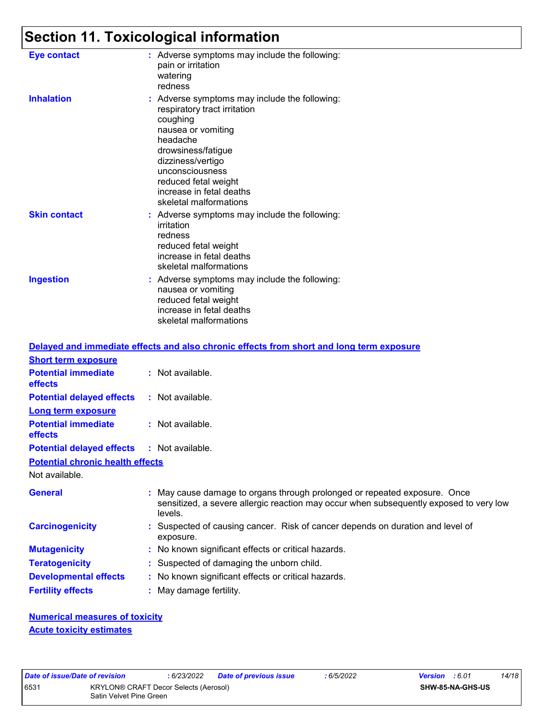# **Section 11. Toxicological information**

| Eye contact         | : Adverse symptoms may include the following:<br>pain or irritation<br>watering<br>redness                                                                                                                                                                              |
|---------------------|-------------------------------------------------------------------------------------------------------------------------------------------------------------------------------------------------------------------------------------------------------------------------|
| <b>Inhalation</b>   | : Adverse symptoms may include the following:<br>respiratory tract irritation<br>coughing<br>nausea or vomiting<br>headache<br>drowsiness/fatigue<br>dizziness/vertigo<br>unconsciousness<br>reduced fetal weight<br>increase in fetal deaths<br>skeletal malformations |
| <b>Skin contact</b> | : Adverse symptoms may include the following:<br>irritation<br>redness<br>reduced fetal weight<br>increase in fetal deaths<br>skeletal malformations                                                                                                                    |
| <b>Ingestion</b>    | : Adverse symptoms may include the following:<br>nausea or vomiting<br>reduced fetal weight<br>increase in fetal deaths<br>skeletal malformations                                                                                                                       |

|                                         | Delayed and immediate effects and also chronic effects from short and long term exposure                                                                                       |
|-----------------------------------------|--------------------------------------------------------------------------------------------------------------------------------------------------------------------------------|
| <b>Short term exposure</b>              |                                                                                                                                                                                |
| <b>Potential immediate</b><br>effects   | : Not available.                                                                                                                                                               |
| <b>Potential delayed effects</b>        | : Not available.                                                                                                                                                               |
| Long term exposure                      |                                                                                                                                                                                |
| <b>Potential immediate</b><br>effects   | : Not available.                                                                                                                                                               |
| <b>Potential delayed effects</b>        | : Not available.                                                                                                                                                               |
| <b>Potential chronic health effects</b> |                                                                                                                                                                                |
| Not available.                          |                                                                                                                                                                                |
| <b>General</b>                          | : May cause damage to organs through prolonged or repeated exposure. Once<br>sensitized, a severe allergic reaction may occur when subsequently exposed to very low<br>levels. |
| <b>Carcinogenicity</b>                  | : Suspected of causing cancer. Risk of cancer depends on duration and level of<br>exposure.                                                                                    |
| <b>Mutagenicity</b>                     | : No known significant effects or critical hazards.                                                                                                                            |
| <b>Teratogenicity</b>                   | : Suspected of damaging the unborn child.                                                                                                                                      |
| <b>Developmental effects</b>            | : No known significant effects or critical hazards.                                                                                                                            |
| <b>Fertility effects</b>                | : May damage fertility.                                                                                                                                                        |

**Numerical measures of toxicity Acute toxicity estimates**

|     |  | ate of issue/Date of revision |
|-----|--|-------------------------------|
| 531 |  | <b>KRYLON®</b>                |
|     |  | $Cdiff$ $1/nhu$               |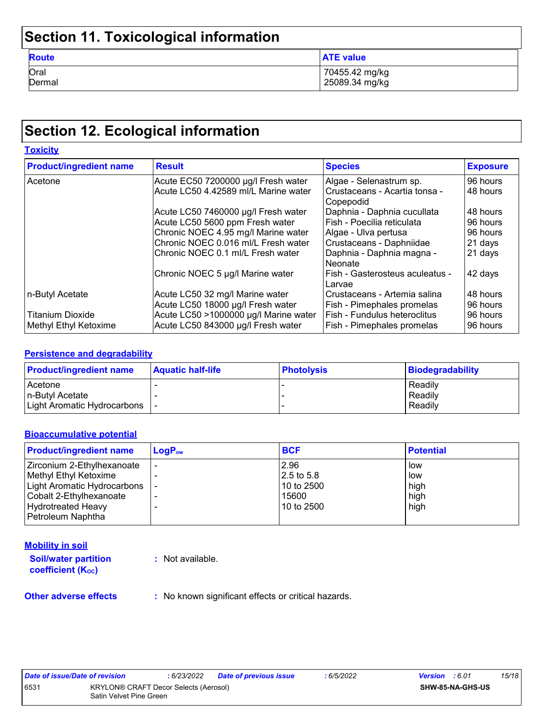# **Section 11. Toxicological information**

| <b>Route</b> | <b>ATE value</b> |
|--------------|------------------|
| Oral         | 70455.42 mg/kg   |
| Dermal       | 25089.34 mg/kg   |

# **Section 12. Ecological information**

| <b>Toxicity</b>                |                                       |                                                |                 |
|--------------------------------|---------------------------------------|------------------------------------------------|-----------------|
| <b>Product/ingredient name</b> | <b>Result</b>                         | <b>Species</b>                                 | <b>Exposure</b> |
| Acetone                        | Acute EC50 7200000 µg/l Fresh water   | Algae - Selenastrum sp.                        | 96 hours        |
|                                | Acute LC50 4.42589 ml/L Marine water  | l Crustaceans - Acartia tonsa -<br>l Copepodid | 48 hours        |
|                                | Acute LC50 7460000 µg/l Fresh water   | Daphnia - Daphnia cucullata                    | 48 hours        |
|                                | Acute LC50 5600 ppm Fresh water       | Fish - Poecilia reticulata                     | 96 hours        |
|                                | Chronic NOEC 4.95 mg/l Marine water   | Algae - Ulva pertusa                           | 96 hours        |
|                                | Chronic NOEC 0.016 ml/L Fresh water   | Crustaceans - Daphniidae                       | 21 days         |
|                                | Chronic NOEC 0.1 ml/L Fresh water     | Daphnia - Daphnia magna -<br>l Neonate         | 21 days         |
|                                | Chronic NOEC 5 µg/l Marine water      | Fish - Gasterosteus aculeatus -<br>Larvae      | 42 days         |
| n-Butyl Acetate                | Acute LC50 32 mg/l Marine water       | Crustaceans - Artemia salina                   | 48 hours        |
|                                | Acute LC50 18000 µg/l Fresh water     | Fish - Pimephales promelas                     | 96 hours        |
| <b>Titanium Dioxide</b>        | Acute LC50 >1000000 µg/l Marine water | Fish - Fundulus heteroclitus                   | 96 hours        |
| Methyl Ethyl Ketoxime          | Acute LC50 843000 µg/l Fresh water    | <b>Fish - Pimephales promelas</b>              | 96 hours        |

#### **Persistence and degradability**

| <b>Product/ingredient name</b> | <b>Aquatic half-life</b> | <b>Photolysis</b> | <b>Biodegradability</b> |
|--------------------------------|--------------------------|-------------------|-------------------------|
| Acetone                        |                          |                   | Readily                 |
| In-Butvl Acetate               |                          |                   | Readily                 |
| Light Aromatic Hydrocarbons    |                          |                   | Readily                 |

#### **Bioaccumulative potential**

| $\mathsf{LogP}_\mathsf{ow}$ | <b>BCF</b> | <b>Potential</b> |
|-----------------------------|------------|------------------|
|                             | 2.96       | low              |
|                             | 2.5 to 5.8 | low              |
|                             | 10 to 2500 | high             |
|                             | 15600      | high             |
|                             | 10 to 2500 | high             |
|                             |            |                  |
|                             |            |                  |

#### **Mobility in soil**

**Soil/water partition coefficient (KOC)**

**:** Not available.

**Other adverse effects** : No known significant effects or critical hazards.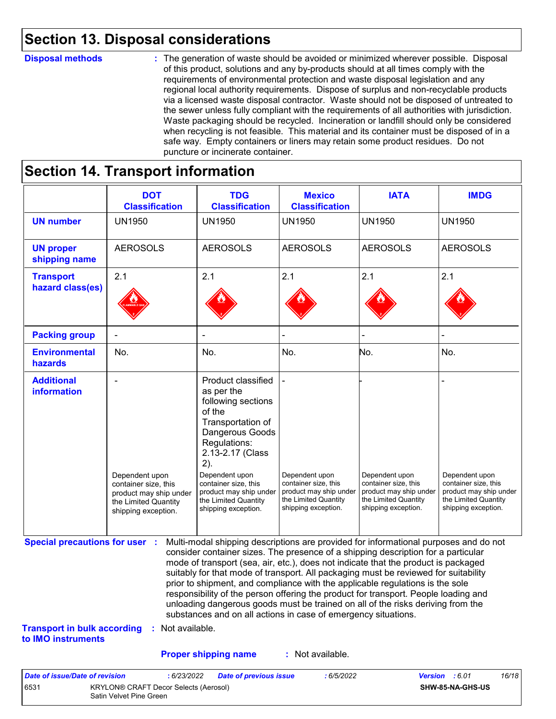### **Section 13. Disposal considerations**

#### **Disposal methods :**

The generation of waste should be avoided or minimized wherever possible. Disposal of this product, solutions and any by-products should at all times comply with the requirements of environmental protection and waste disposal legislation and any regional local authority requirements. Dispose of surplus and non-recyclable products via a licensed waste disposal contractor. Waste should not be disposed of untreated to the sewer unless fully compliant with the requirements of all authorities with jurisdiction. Waste packaging should be recycled. Incineration or landfill should only be considered when recycling is not feasible. This material and its container must be disposed of in a safe way. Empty containers or liners may retain some product residues. Do not puncture or incinerate container.

### **Section 14. Transport information**

6531 KRYLON® CRAFT Decor Selects (Aerosol) Satin Velvet Pine Green

|                                                                             | <b>DOT</b><br><b>Classification</b>                                                                             | <b>TDG</b><br><b>Classification</b>                                                                                                                                                                                                                                                                                                                                                                                                                                                                                                                                                                                                                                                 | <b>Mexico</b><br><b>Classification</b>                                                                          | <b>IATA</b>                                                                                                     | <b>IMDG</b>                                                                                                     |
|-----------------------------------------------------------------------------|-----------------------------------------------------------------------------------------------------------------|-------------------------------------------------------------------------------------------------------------------------------------------------------------------------------------------------------------------------------------------------------------------------------------------------------------------------------------------------------------------------------------------------------------------------------------------------------------------------------------------------------------------------------------------------------------------------------------------------------------------------------------------------------------------------------------|-----------------------------------------------------------------------------------------------------------------|-----------------------------------------------------------------------------------------------------------------|-----------------------------------------------------------------------------------------------------------------|
| <b>UN number</b>                                                            | <b>UN1950</b>                                                                                                   | <b>UN1950</b>                                                                                                                                                                                                                                                                                                                                                                                                                                                                                                                                                                                                                                                                       | <b>UN1950</b>                                                                                                   | <b>UN1950</b>                                                                                                   | <b>UN1950</b>                                                                                                   |
| <b>UN proper</b><br>shipping name                                           | <b>AEROSOLS</b>                                                                                                 | <b>AEROSOLS</b>                                                                                                                                                                                                                                                                                                                                                                                                                                                                                                                                                                                                                                                                     | <b>AEROSOLS</b>                                                                                                 | <b>AEROSOLS</b>                                                                                                 | <b>AEROSOLS</b>                                                                                                 |
| <b>Transport</b><br>hazard class(es)                                        | 2.1                                                                                                             | 2.1                                                                                                                                                                                                                                                                                                                                                                                                                                                                                                                                                                                                                                                                                 | 2.1                                                                                                             | 2.1                                                                                                             | 2.1                                                                                                             |
| <b>Packing group</b>                                                        |                                                                                                                 |                                                                                                                                                                                                                                                                                                                                                                                                                                                                                                                                                                                                                                                                                     |                                                                                                                 |                                                                                                                 |                                                                                                                 |
| <b>Environmental</b><br>hazards                                             | No.                                                                                                             | No.                                                                                                                                                                                                                                                                                                                                                                                                                                                                                                                                                                                                                                                                                 | No.                                                                                                             | No.                                                                                                             | No.                                                                                                             |
| <b>Additional</b><br>information                                            | Dependent upon<br>container size, this<br>product may ship under<br>the Limited Quantity<br>shipping exception. | Product classified<br>as per the<br>following sections<br>of the<br>Transportation of<br>Dangerous Goods<br>Regulations:<br>2.13-2.17 (Class<br>2).<br>Dependent upon<br>container size, this<br>product may ship under<br>the Limited Quantity<br>shipping exception.                                                                                                                                                                                                                                                                                                                                                                                                              | Dependent upon<br>container size, this<br>product may ship under<br>the Limited Quantity<br>shipping exception. | Dependent upon<br>container size, this<br>product may ship under<br>the Limited Quantity<br>shipping exception. | Dependent upon<br>container size, this<br>product may ship under<br>the Limited Quantity<br>shipping exception. |
| <b>Special precautions for user :</b><br><b>Transport in bulk according</b> | : Not available.                                                                                                | Multi-modal shipping descriptions are provided for informational purposes and do not<br>consider container sizes. The presence of a shipping description for a particular<br>mode of transport (sea, air, etc.), does not indicate that the product is packaged<br>suitably for that mode of transport. All packaging must be reviewed for suitability<br>prior to shipment, and compliance with the applicable regulations is the sole<br>responsibility of the person offering the product for transport. People loading and<br>unloading dangerous goods must be trained on all of the risks deriving from the<br>substances and on all actions in case of emergency situations. |                                                                                                                 |                                                                                                                 |                                                                                                                 |
| to IMO instruments                                                          |                                                                                                                 |                                                                                                                                                                                                                                                                                                                                                                                                                                                                                                                                                                                                                                                                                     |                                                                                                                 |                                                                                                                 |                                                                                                                 |
|                                                                             |                                                                                                                 | <b>Proper shipping name</b>                                                                                                                                                                                                                                                                                                                                                                                                                                                                                                                                                                                                                                                         | : Not available.                                                                                                |                                                                                                                 |                                                                                                                 |

**SHW-85-NA-GHS-US**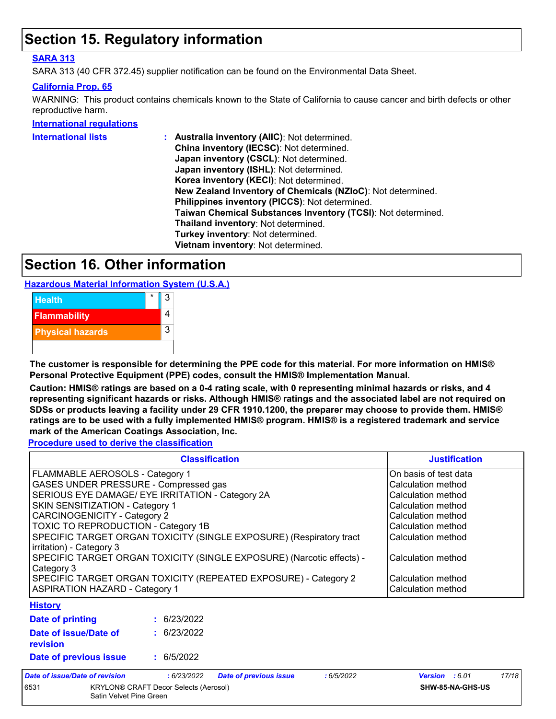### **Section 15. Regulatory information**

#### **SARA 313**

SARA 313 (40 CFR 372.45) supplier notification can be found on the Environmental Data Sheet.

#### **California Prop. 65**

WARNING: This product contains chemicals known to the State of California to cause cancer and birth defects or other reproductive harm.

#### **International regulations**

| International lists | : Australia inventory (AIIC): Not determined.                |
|---------------------|--------------------------------------------------------------|
|                     | China inventory (IECSC): Not determined.                     |
|                     | Japan inventory (CSCL): Not determined.                      |
|                     | Japan inventory (ISHL): Not determined.                      |
|                     | Korea inventory (KECI): Not determined.                      |
|                     | New Zealand Inventory of Chemicals (NZIoC): Not determined.  |
|                     | Philippines inventory (PICCS): Not determined.               |
|                     | Taiwan Chemical Substances Inventory (TCSI): Not determined. |
|                     | Thailand inventory: Not determined.                          |
|                     | Turkey inventory: Not determined.                            |
|                     | Vietnam inventory: Not determined.                           |
|                     |                                                              |

### **Section 16. Other information**

**Hazardous Material Information System (U.S.A.)**



**The customer is responsible for determining the PPE code for this material. For more information on HMIS® Personal Protective Equipment (PPE) codes, consult the HMIS® Implementation Manual.**

**Caution: HMIS® ratings are based on a 0-4 rating scale, with 0 representing minimal hazards or risks, and 4 representing significant hazards or risks. Although HMIS® ratings and the associated label are not required on SDSs or products leaving a facility under 29 CFR 1910.1200, the preparer may choose to provide them. HMIS® ratings are to be used with a fully implemented HMIS® program. HMIS® is a registered trademark and service mark of the American Coatings Association, Inc.**

**Procedure used to derive the classification**

| <b>Classification</b>                                                                           |             |                               |           | <b>Justification</b>  |       |
|-------------------------------------------------------------------------------------------------|-------------|-------------------------------|-----------|-----------------------|-------|
| FLAMMABLE AEROSOLS - Category 1                                                                 |             |                               |           | On basis of test data |       |
| GASES UNDER PRESSURE - Compressed gas                                                           |             |                               |           | Calculation method    |       |
| SERIOUS EYE DAMAGE/ EYE IRRITATION - Category 2A                                                |             |                               |           | Calculation method    |       |
| SKIN SENSITIZATION - Category 1                                                                 |             |                               |           | Calculation method    |       |
| CARCINOGENICITY - Category 2                                                                    |             |                               |           | Calculation method    |       |
| TOXIC TO REPRODUCTION - Category 1B                                                             |             |                               |           | Calculation method    |       |
| SPECIFIC TARGET ORGAN TOXICITY (SINGLE EXPOSURE) (Respiratory tract<br>irritation) - Category 3 |             |                               |           | Calculation method    |       |
| SPECIFIC TARGET ORGAN TOXICITY (SINGLE EXPOSURE) (Narcotic effects) -<br>Category 3             |             |                               |           | Calculation method    |       |
| SPECIFIC TARGET ORGAN TOXICITY (REPEATED EXPOSURE) - Category 2                                 |             |                               |           | Calculation method    |       |
| <b>ASPIRATION HAZARD - Category 1</b>                                                           |             |                               |           | Calculation method    |       |
| <b>History</b>                                                                                  |             |                               |           |                       |       |
| Date of printing                                                                                | : 6/23/2022 |                               |           |                       |       |
| Date of issue/Date of<br>revision                                                               | : 6/23/2022 |                               |           |                       |       |
| Date of previous issue                                                                          | : 6/5/2022  |                               |           |                       |       |
| Date of issue/Date of revision                                                                  | : 6/23/2022 | <b>Date of previous issue</b> | :6/5/2022 | Version : 6.01        | 17/18 |